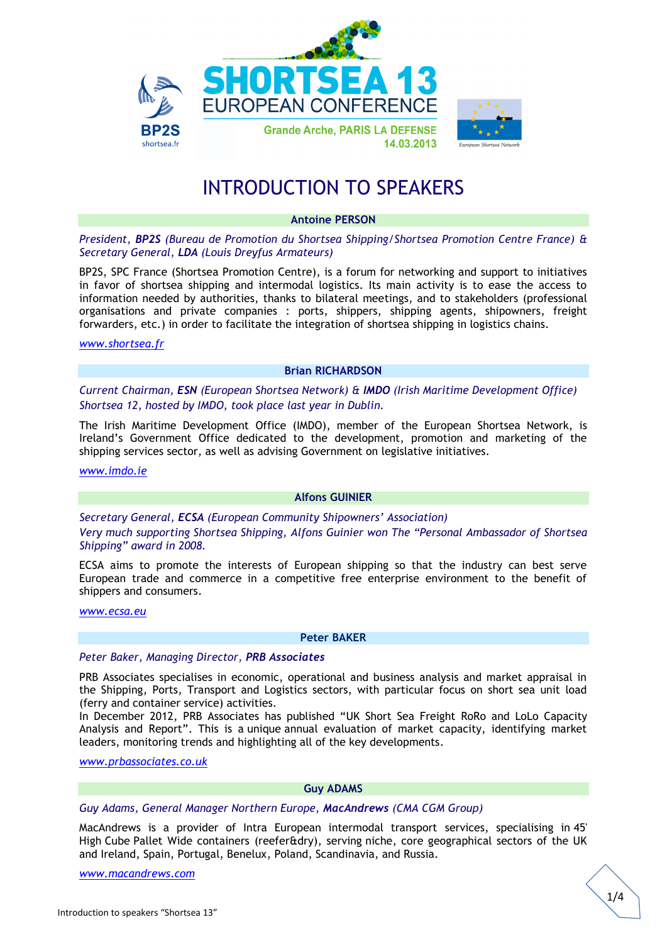

# INTRODUCTION TO SPEAKERS

# **Antoine PERSON**

*President, BP2S (Bureau de Promotion du Shortsea Shipping/Shortsea Promotion Centre France) & Secretary General, LDA (Louis Dreyfus Armateurs)*

BP2S, SPC France (Shortsea Promotion Centre), is a forum for networking and support to initiatives in favor of shortsea shipping and intermodal logistics. Its main activity is to ease the access to information needed by authorities, thanks to bilateral meetings, and to stakeholders (professional organisations and private companies : ports, shippers, shipping agents, shipowners, freight forwarders, etc.) in order to facilitate the integration of shortsea shipping in logistics chains.

*[www.shortsea.fr](http://www.shortsea.fr/)*

## **Brian RICHARDSON**

*Current Chairman, ESN (European Shortsea Network) & IMDO (Irish Maritime Development Office) Shortsea 12, hosted by IMDO, took place last year in Dublin.*

The Irish Maritime Development Office (IMDO), member of the European Shortsea Network, is Ireland's Government Office dedicated to the development, promotion and marketing of the shipping services sector, as well as advising Government on legislative initiatives.

*[www.imdo.ie](http://www.imdo.ie/)*

#### **Alfons GUINIER**

*Secretary General, ECSA (European Community Shipowners' Association) Very much supporting Shortsea Shipping, Alfons Guinier won The "Personal Ambassador of Shortsea Shipping" award in 2008.*

ECSA aims to promote the interests of European shipping so that the industry can best serve European trade and commerce in a competitive free enterprise environment to the benefit of shippers and consumers.

*[www.ecsa.eu](http://www.ecsa.eu/)*

#### **Peter BAKER**

## *Peter Baker, Managing Director, PRB Associates*

PRB Associates specialises in economic, operational and business analysis and market appraisal in the Shipping, Ports, Transport and Logistics sectors, with particular focus on short sea unit load (ferry and container service) activities.

In December 2012, PRB Associates has published "UK Short Sea Freight RoRo and LoLo Capacity Analysis and Report". This is a unique annual evaluation of market capacity, identifying market leaders, monitoring trends and highlighting all of the key developments.

*[www.prbassociates.co.uk](http://www.prbassociates.co.uk/)*

# **Guy ADAMS**

# *Guy Adams, General Manager Northern Europe, MacAndrews (CMA CGM Group)*

MacAndrews is a provider of Intra European intermodal transport services, specialising in 45' High Cube Pallet Wide containers (reefer&dry), serving niche, core geographical sectors of the UK and Ireland, Spain, Portugal, Benelux, Poland, Scandinavia, and Russia.

*[www.macandrews.com](http://www.macandrews.com/)*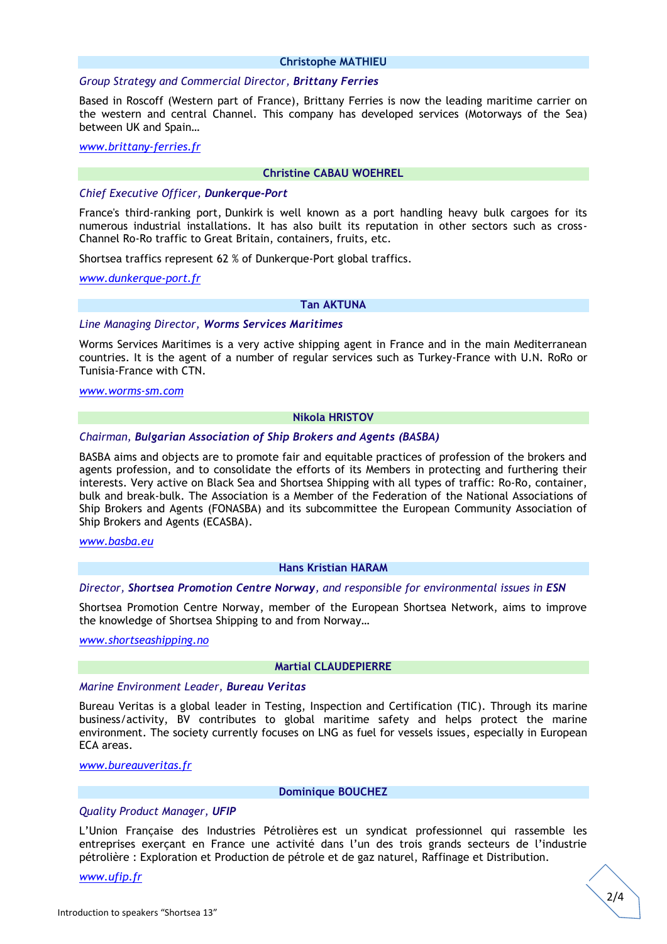#### **Christophe MATHIEU**

## *Group Strategy and Commercial Director, Brittany Ferries*

Based in Roscoff (Western part of France), Brittany Ferries is now the leading maritime carrier on the western and central Channel. This company has developed services (Motorways of the Sea) between UK and Spain…

# *[www.brittany-ferries.fr](http://www.brittany-ferries.fr/)*

## **Christine CABAU WOEHREL**

# *Chief Executive Officer, Dunkerque-Port*

France's third-ranking port, Dunkirk is well known as a port handling heavy bulk cargoes for its numerous industrial installations. It has also built its reputation in other sectors such as cross-Channel Ro-Ro traffic to Great Britain, containers, fruits, etc.

Shortsea traffics represent 62 % of Dunkerque-Port global traffics.

*[www.dunkerque-port.fr](http://www.dunkerque-port.fr/)*

## **Tan AKTUNA**

## *Line Managing Director, Worms Services Maritimes*

Worms Services Maritimes is a very active shipping agent in France and in the main Mediterranean countries. It is the agent of a number of regular services such as Turkey-France with U.N. RoRo or Tunisia-France with CTN.

# *[www.worms-sm.com](http://www.worms-sm.com/)*

# **Nikola HRISTOV**

# *Chairman, Bulgarian Association of Ship Brokers and Agents (BASBA)*

BASBA aims and objects are to promote fair and equitable practices of profession of the brokers and agents profession, and to consolidate the efforts of its Members in protecting and furthering their interests. Very active on Black Sea and Shortsea Shipping with all types of traffic: Ro-Ro, container, bulk and break-bulk. The Association is a Member of the Federation of the National Associations of Ship Brokers and Agents (FONASBA) and its subcommittee the European Community Association of Ship Brokers and Agents (ECASBA).

## *[www.basba.eu](http://www.basba.eu/)*

## **Hans Kristian HARAM**

## *Director, Shortsea Promotion Centre Norway, and responsible for environmental issues in ESN*

Shortsea Promotion Centre Norway, member of the European Shortsea Network, aims to improve the knowledge of Shortsea Shipping to and from Norway…

*[www.shortseashipping.no](http://www.shortseashipping.no/)*

#### **Martial CLAUDEPIERRE**

## *Marine Environment Leader, Bureau Veritas*

Bureau Veritas is a global leader in Testing, Inspection and Certification (TIC). Through its marine business/activity, BV contributes to global maritime safety and helps protect the marine environment. The society currently focuses on LNG as fuel for vessels issues, especially in European ECA areas.

# *[www.bureauveritas.fr](http://www.bureauveritas.fr/)*

## **Dominique BOUCHEZ**

# *Quality Product Manager, UFIP*

L'Union Française des Industries Pétrolières est un syndicat professionnel qui rassemble les entreprises exerçant en France une activité dans l'un des trois grands secteurs de l'industrie pétrolière : Exploration et Production de pétrole et de gaz naturel, Raffinage et Distribution.

#### *[www.ufip.fr](http://www.ufip.fr/)*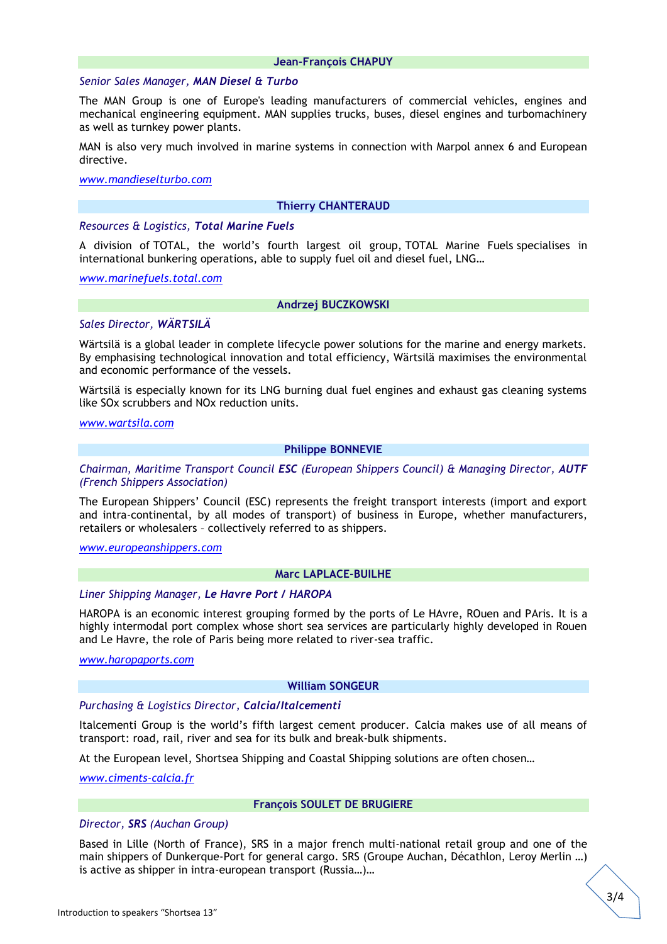## **Jean-François CHAPUY**

#### *Senior Sales Manager, MAN Diesel & Turbo*

The MAN Group is one of Europe's leading manufacturers of commercial vehicles, engines and mechanical engineering equipment. MAN supplies trucks, buses, diesel engines and turbomachinery as well as turnkey power plants.

MAN is also very much involved in marine systems in connection with Marpol annex 6 and European directive.

*[www.mandieselturbo.com](http://www.mandieselturbo.com/)*

#### **Thierry CHANTERAUD**

## *Resources & Logistics, Total Marine Fuels*

A division of TOTAL, the world's fourth largest oil group, TOTAL Marine Fuels specialises in international bunkering operations, able to supply fuel oil and diesel fuel, LNG…

*[www.marinefuels.total.com](http://www.marinefuels.total.com/)*

#### **Andrzej BUCZKOWSKI**

# *Sales Director, WÄRTSILÄ*

Wärtsilä is a global leader in complete lifecycle power solutions for the marine and energy markets. By emphasising technological innovation and total efficiency, Wärtsilä maximises the environmental and economic performance of the vessels.

Wärtsilä is especially known for its LNG burning dual fuel engines and exhaust gas cleaning systems like SOx scrubbers and NOx reduction units.

*[www.wartsila.com](http://www.wartsila.com/)*

# **Philippe BONNEVIE**

# *Chairman, Maritime Transport Council ESC (European Shippers Council) & Managing Director, AUTF (French Shippers Association)*

The European Shippers' Council (ESC) represents the freight transport interests (import and export and intra-continental, by all modes of transport) of business in Europe, whether manufacturers, retailers or wholesalers – collectively referred to as shippers.

# *[www.europeanshippers.com](http://www.europeanshippers.com/)*

# **Marc LAPLACE-BUILHE**

#### *Liner Shipping Manager, Le Havre Port / HAROPA*

HAROPA is an economic interest grouping formed by the ports of Le HAvre, ROuen and PAris. It is a highly intermodal port complex whose short sea services are particularly highly developed in Rouen and Le Havre, the role of Paris being more related to river-sea traffic.

*[www.haropaports.com](http://www.haropaports.com/)*

#### **William SONGEUR**

## *Purchasing & Logistics Director, Calcia/Italcementi*

Italcementi Group is the world's fifth largest cement producer. Calcia makes use of all means of transport: road, rail, river and sea for its bulk and break-bulk shipments.

At the European level, Shortsea Shipping and Coastal Shipping solutions are often chosen…

*[www.ciments-calcia.fr](http://www.ciments-calcia.fr/)*

#### **François SOULET DE BRUGIERE**

# *Director, SRS (Auchan Group)*

Based in Lille (North of France), SRS in a major french multi-national retail group and one of the main shippers of Dunkerque-Port for general cargo. SRS (Groupe Auchan, Décathlon, Leroy Merlin …) is active as shipper in intra-european transport (Russia…)…